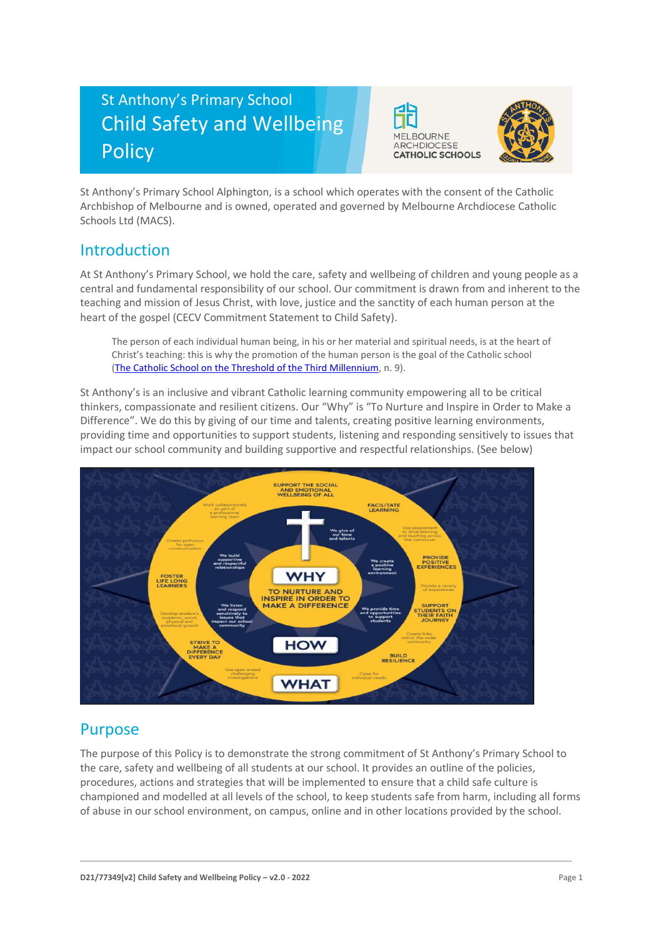# St Anthony's Primary School Child Safety and Wellbeing **Policy**





St Anthony's Primary School Alphington, is a school which operates with the consent of the Catholic Archbishop of Melbourne and is owned, operated and governed by Melbourne Archdiocese Catholic Schools Ltd (MACS).

# Introduction

At St Anthony's Primary School, we hold the care, safety and wellbeing of children and young people as a central and fundamental responsibility of our school. Our commitment is drawn from and inherent to the teaching and mission of Jesus Christ, with love, justice and the sanctity of each human person at the heart of the gospel (CECV Commitment Statement to Child Safety).

The person of each individual human being, in his or her material and spiritual needs, is at the heart of Christ's teaching: this is why the promotion of the human person is the goal of the Catholic school [\(The Catholic School on the Threshold of the Third Millennium,](http://www.vatican.va/roman_curia/congregations/ccatheduc/documents/rc_con_ccatheduc_doc_27041998_school2000_en.html) n. 9).

St Anthony's is an inclusive and vibrant Catholic learning community empowering all to be critical thinkers, compassionate and resilient citizens. Our "Why" is "To Nurture and Inspire in Order to Make a Difference". We do this by giving of our time and talents, creating positive learning environments, providing time and opportunities to support students, listening and responding sensitively to issues that impact our school community and building supportive and respectful relationships. (See below)



# Purpose

The purpose of this Policy is to demonstrate the strong commitment of St Anthony's Primary School to the care, safety and wellbeing of all students at our school. It provides an outline of the policies, procedures, actions and strategies that will be implemented to ensure that a child safe culture is championed and modelled at all levels of the school, to keep students safe from harm, including all forms of abuse in our school environment, on campus, online and in other locations provided by the school.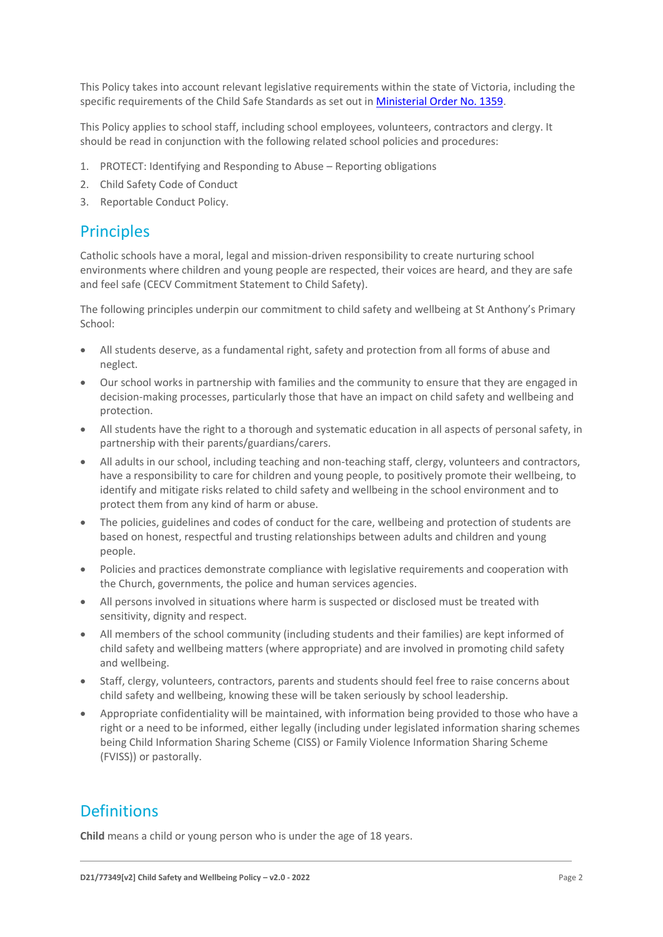This Policy takes into account relevant legislative requirements within the state of Victoria, including the specific requirements of the Child Safe Standards as set out in [Ministerial Order No. 1359.](https://www.vrqa.vic.gov.au/Documents/MinOrder1359childsafe.pdf)

This Policy applies to school staff, including school employees, volunteers, contractors and clergy. It should be read in conjunction with the following related school policies and procedures:

- 1. PROTECT: Identifying and Responding to Abuse Reporting obligations
- 2. Child Safety Code of Conduct
- 3. Reportable Conduct Policy.

### **Principles**

Catholic schools have a moral, legal and mission-driven responsibility to create nurturing school environments where children and young people are respected, their voices are heard, and they are safe and feel safe (CECV Commitment Statement to Child Safety).

The following principles underpin our commitment to child safety and wellbeing at St Anthony's Primary School:

- All students deserve, as a fundamental right, safety and protection from all forms of abuse and neglect.
- Our school works in partnership with families and the community to ensure that they are engaged in decision-making processes, particularly those that have an impact on child safety and wellbeing and protection.
- All students have the right to a thorough and systematic education in all aspects of personal safety, in partnership with their parents/guardians/carers.
- All adults in our school, including teaching and non-teaching staff, clergy, volunteers and contractors, have a responsibility to care for children and young people, to positively promote their wellbeing, to identify and mitigate risks related to child safety and wellbeing in the school environment and to protect them from any kind of harm or abuse.
- The policies, guidelines and codes of conduct for the care, wellbeing and protection of students are based on honest, respectful and trusting relationships between adults and children and young people.
- Policies and practices demonstrate compliance with legislative requirements and cooperation with the Church, governments, the police and human services agencies.
- All persons involved in situations where harm is suspected or disclosed must be treated with sensitivity, dignity and respect.
- All members of the school community (including students and their families) are kept informed of child safety and wellbeing matters (where appropriate) and are involved in promoting child safety and wellbeing.
- Staff, clergy, volunteers, contractors, parents and students should feel free to raise concerns about child safety and wellbeing, knowing these will be taken seriously by school leadership.
- Appropriate confidentiality will be maintained, with information being provided to those who have a right or a need to be informed, either legally (including under legislated information sharing schemes being Child Information Sharing Scheme (CISS) or Family Violence Information Sharing Scheme (FVISS)) or pastorally.

### Definitions

**Child** means a child or young person who is under the age of 18 years.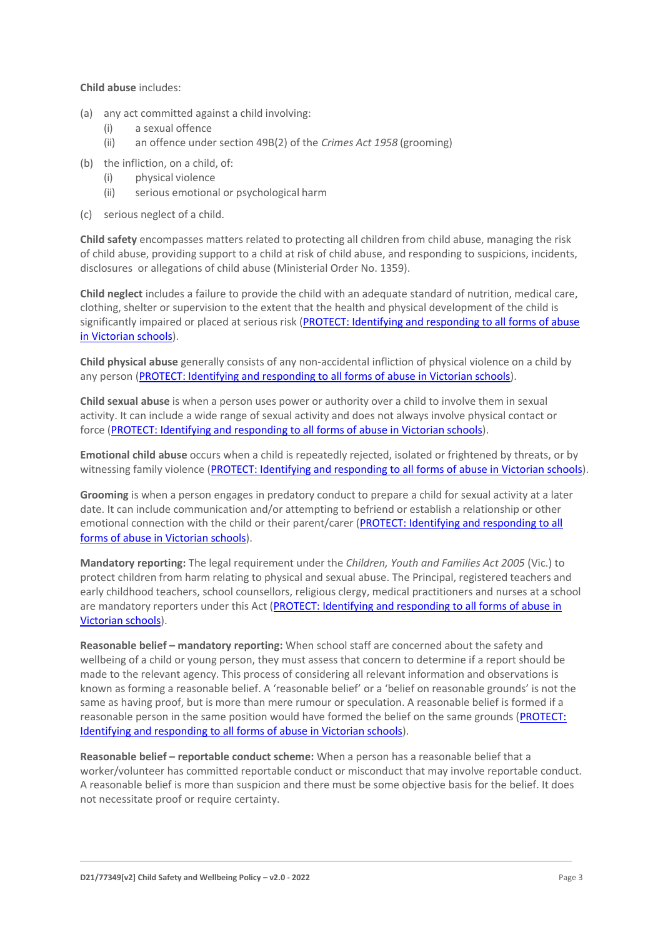#### **Child abuse** includes:

- (a) any act committed against a child involving:
	- (i) a sexual offence
	- (ii) an offence under section 49B(2) of the *Crimes Act 1958* (grooming)
- (b) the infliction, on a child, of:
	- (i) physical violence
	- (ii) serious emotional or psychological harm
- (c) serious neglect of a child.

**Child safety** encompasses matters related to protecting all children from child abuse, managing the risk of child abuse, providing support to a child at risk of child abuse, and responding to suspicions, incidents, disclosures or allegations of child abuse (Ministerial Order No. 1359).

**Child neglect** includes a failure to provide the child with an adequate standard of nutrition, medical care, clothing, shelter or supervision to the extent that the health and physical development of the child is significantly impaired or placed at serious risk (PROTECT: Identifying and responding to all forms of abuse [in Victorian schools\)](http://www.cecv.catholic.edu.au/getmedia/ebe135a4-d1b3-48a0-81fe-50d4fc451bcd/Identifying-and-Responding-to-All-Forms-of-Abuse.aspx#page%3D27).

**Child physical abuse** generally consists of any non-accidental infliction of physical violence on a child by any person [\(PROTECT: Identifying and responding to all forms of abuse in Victorian schools\)](https://www.cecv.catholic.edu.au/getmedia/ebe135a4-d1b3-48a0-81fe-50d4fc451bcd/Identifying-and-Responding-to-All-Forms-of-Abuse.aspx#page%3D15).

**Child sexual abuse** is when a person uses power or authority over a child to involve them in sexual activity. It can include a wide range of sexual activity and does not always involve physical contact or force [\(PROTECT: Identifying and responding to all forms of abuse in Victorian schools\)](https://www.cecv.catholic.edu.au/getmedia/ebe135a4-d1b3-48a0-81fe-50d4fc451bcd/Identifying-and-Responding-to-All-Forms-of-Abuse.aspx#page%3D17).

**Emotional child abuse** occurs when a child is repeatedly rejected, isolated or frightened by threats, or by witnessing family violence [\(PROTECT: Identifying and responding to all forms of abuse in Victorian schools\)](https://www.cecv.catholic.edu.au/getmedia/ebe135a4-d1b3-48a0-81fe-50d4fc451bcd/Identifying-and-Responding-to-All-Forms-of-Abuse.aspx#page%3D26).

**Grooming** is when a person engages in predatory conduct to prepare a child for sexual activity at a later date. It can include communication and/or attempting to befriend or establish a relationship or other emotional connection with the child or their parent/carer [\(PROTECT: Identifying and responding to all](https://www.cecv.catholic.edu.au/getmedia/ebe135a4-d1b3-48a0-81fe-50d4fc451bcd/Identifying-and-Responding-to-All-Forms-of-Abuse.aspx#page%3D20)  [forms of abuse in Victorian schools\)](https://www.cecv.catholic.edu.au/getmedia/ebe135a4-d1b3-48a0-81fe-50d4fc451bcd/Identifying-and-Responding-to-All-Forms-of-Abuse.aspx#page%3D20).

**Mandatory reporting:** The legal requirement under the *Children, Youth and Families Act 2005* (Vic.) to protect children from harm relating to physical and sexual abuse. The Principal, registered teachers and early childhood teachers, school counsellors, religious clergy, medical practitioners and nurses at a school are mandatory reporters under this Act [\(PROTECT: Identifying and responding to all forms of abuse in](http://www.cecv.catholic.edu.au/getmedia/ebe135a4-d1b3-48a0-81fe-50d4fc451bcd/Identifying-and-Responding-to-All-Forms-of-Abuse.aspx#page%3D8)  [Victorian schools\)](http://www.cecv.catholic.edu.au/getmedia/ebe135a4-d1b3-48a0-81fe-50d4fc451bcd/Identifying-and-Responding-to-All-Forms-of-Abuse.aspx#page%3D8).

**Reasonable belief – mandatory reporting:** When school staff are concerned about the safety and wellbeing of a child or young person, they must assess that concern to determine if a report should be made to the relevant agency. This process of considering all relevant information and observations is known as forming a reasonable belief. A 'reasonable belief' or a 'belief on reasonable grounds' is not the same as having proof, but is more than mere rumour or speculation. A reasonable belief is formed if a reasonable person in the same position would have formed the belief on the same grounds [\(PROTECT:](http://www.cecv.catholic.edu.au/getmedia/ebe135a4-d1b3-48a0-81fe-50d4fc451bcd/Identifying-and-Responding-to-All-Forms-of-Abuse.aspx#page%3D35)  [Identifying and responding to all forms of abuse in Victorian schools\)](http://www.cecv.catholic.edu.au/getmedia/ebe135a4-d1b3-48a0-81fe-50d4fc451bcd/Identifying-and-Responding-to-All-Forms-of-Abuse.aspx#page%3D35).

**Reasonable belief – reportable conduct scheme:** When a person has a reasonable belief that a worker/volunteer has committed reportable conduct or misconduct that may involve reportable conduct. A reasonable belief is more than suspicion and there must be some objective basis for the belief. It does not necessitate proof or require certainty.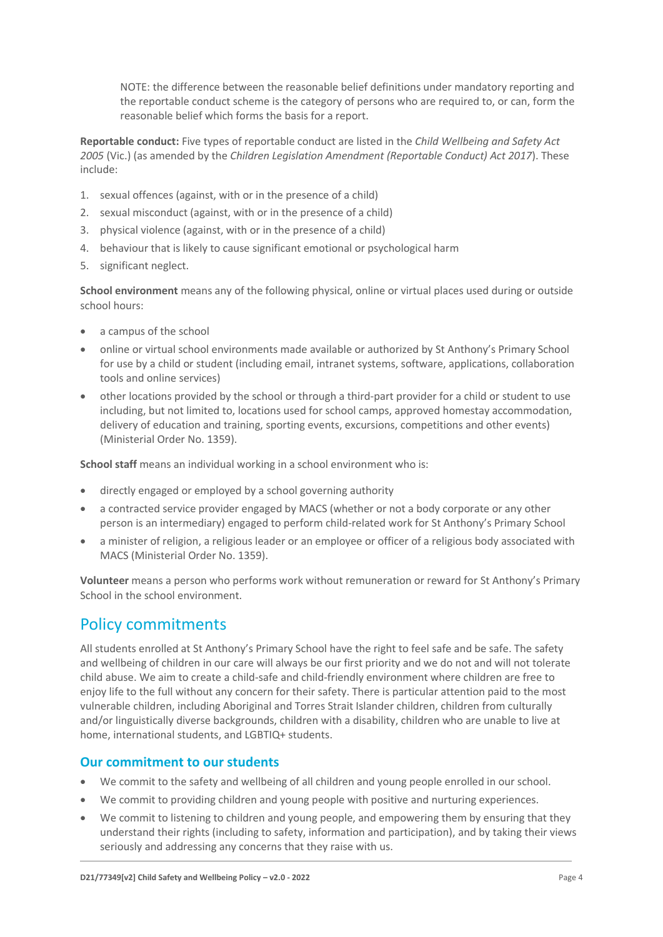NOTE: the difference between the reasonable belief definitions under mandatory reporting and the reportable conduct scheme is the category of persons who are required to, or can, form the reasonable belief which forms the basis for a report.

**Reportable conduct:** Five types of reportable conduct are listed in the *Child Wellbeing and Safety Act 2005* (Vic.) (as amended by the *Children Legislation Amendment (Reportable Conduct) Act 2017*). These include:

- 1. sexual offences (against, with or in the presence of a child)
- 2. sexual misconduct (against, with or in the presence of a child)
- 3. physical violence (against, with or in the presence of a child)
- 4. behaviour that is likely to cause significant emotional or psychological harm
- 5. significant neglect.

**School environment** means any of the following physical, online or virtual places used during or outside school hours:

- a campus of the school
- online or virtual school environments made available or authorized by St Anthony's Primary School for use by a child or student (including email, intranet systems, software, applications, collaboration tools and online services)
- other locations provided by the school or through a third-part provider for a child or student to use including, but not limited to, locations used for school camps, approved homestay accommodation, delivery of education and training, sporting events, excursions, competitions and other events) (Ministerial Order No. 1359).

**School staff** means an individual working in a school environment who is:

- directly engaged or employed by a school governing authority
- a contracted service provider engaged by MACS (whether or not a body corporate or any other person is an intermediary) engaged to perform child-related work for St Anthony's Primary School
- a minister of religion, a religious leader or an employee or officer of a religious body associated with MACS (Ministerial Order No. 1359).

**Volunteer** means a person who performs work without remuneration or reward for St Anthony's Primary School in the school environment.

# Policy commitments

All students enrolled at St Anthony's Primary School have the right to feel safe and be safe. The safety and wellbeing of children in our care will always be our first priority and we do not and will not tolerate child abuse. We aim to create a child-safe and child-friendly environment where children are free to enjoy life to the full without any concern for their safety. There is particular attention paid to the most vulnerable children, including Aboriginal and Torres Strait Islander children, children from culturally and/or linguistically diverse backgrounds, children with a disability, children who are unable to live at home, international students, and LGBTIQ+ students.

#### **Our commitment to our students**

- We commit to the safety and wellbeing of all children and young people enrolled in our school.
- We commit to providing children and young people with positive and nurturing experiences.
- We commit to listening to children and young people, and empowering them by ensuring that they understand their rights (including to safety, information and participation), and by taking their views seriously and addressing any concerns that they raise with us.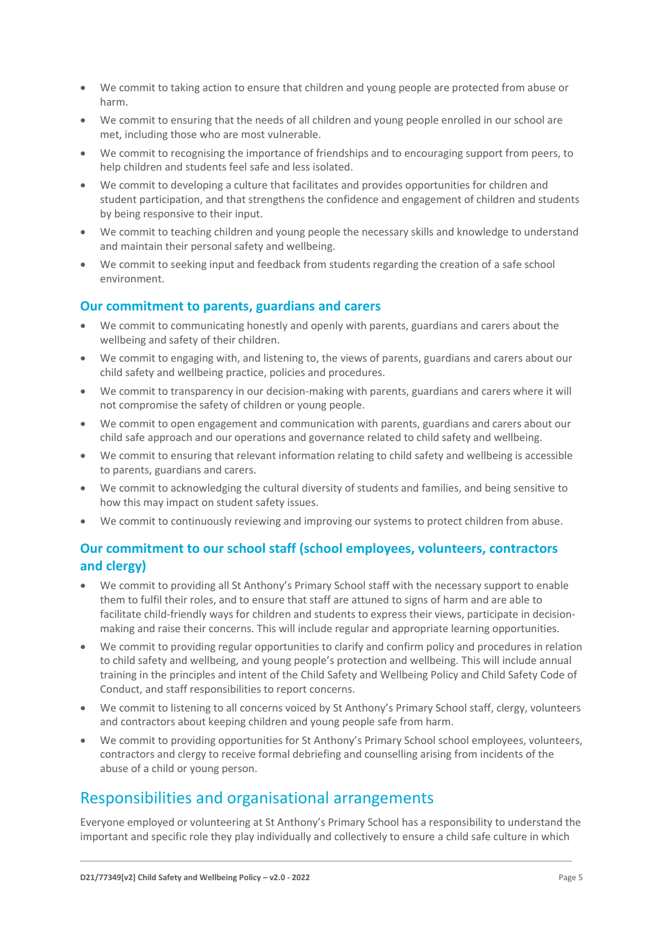- We commit to taking action to ensure that children and young people are protected from abuse or harm.
- We commit to ensuring that the needs of all children and young people enrolled in our school are met, including those who are most vulnerable.
- We commit to recognising the importance of friendships and to encouraging support from peers, to help children and students feel safe and less isolated.
- We commit to developing a culture that facilitates and provides opportunities for children and student participation, and that strengthens the confidence and engagement of children and students by being responsive to their input.
- We commit to teaching children and young people the necessary skills and knowledge to understand and maintain their personal safety and wellbeing.
- We commit to seeking input and feedback from students regarding the creation of a safe school environment.

#### **Our commitment to parents, guardians and carers**

- We commit to communicating honestly and openly with parents, guardians and carers about the wellbeing and safety of their children.
- We commit to engaging with, and listening to, the views of parents, guardians and carers about our child safety and wellbeing practice, policies and procedures.
- We commit to transparency in our decision-making with parents, guardians and carers where it will not compromise the safety of children or young people.
- We commit to open engagement and communication with parents, guardians and carers about our child safe approach and our operations and governance related to child safety and wellbeing.
- We commit to ensuring that relevant information relating to child safety and wellbeing is accessible to parents, guardians and carers.
- We commit to acknowledging the cultural diversity of students and families, and being sensitive to how this may impact on student safety issues.
- We commit to continuously reviewing and improving our systems to protect children from abuse.

### **Our commitment to our school staff (school employees, volunteers, contractors and clergy)**

- We commit to providing all St Anthony's Primary School staff with the necessary support to enable them to fulfil their roles, and to ensure that staff are attuned to signs of harm and are able to facilitate child-friendly ways for children and students to express their views, participate in decisionmaking and raise their concerns. This will include regular and appropriate learning opportunities.
- We commit to providing regular opportunities to clarify and confirm policy and procedures in relation to child safety and wellbeing, and young people's protection and wellbeing. This will include annual training in the principles and intent of the Child Safety and Wellbeing Policy and Child Safety Code of Conduct, and staff responsibilities to report concerns.
- We commit to listening to all concerns voiced by St Anthony's Primary School staff, clergy, volunteers and contractors about keeping children and young people safe from harm.
- We commit to providing opportunities for St Anthony's Primary School school employees, volunteers, contractors and clergy to receive formal debriefing and counselling arising from incidents of the abuse of a child or young person.

# Responsibilities and organisational arrangements

Everyone employed or volunteering at St Anthony's Primary School has a responsibility to understand the important and specific role they play individually and collectively to ensure a child safe culture in which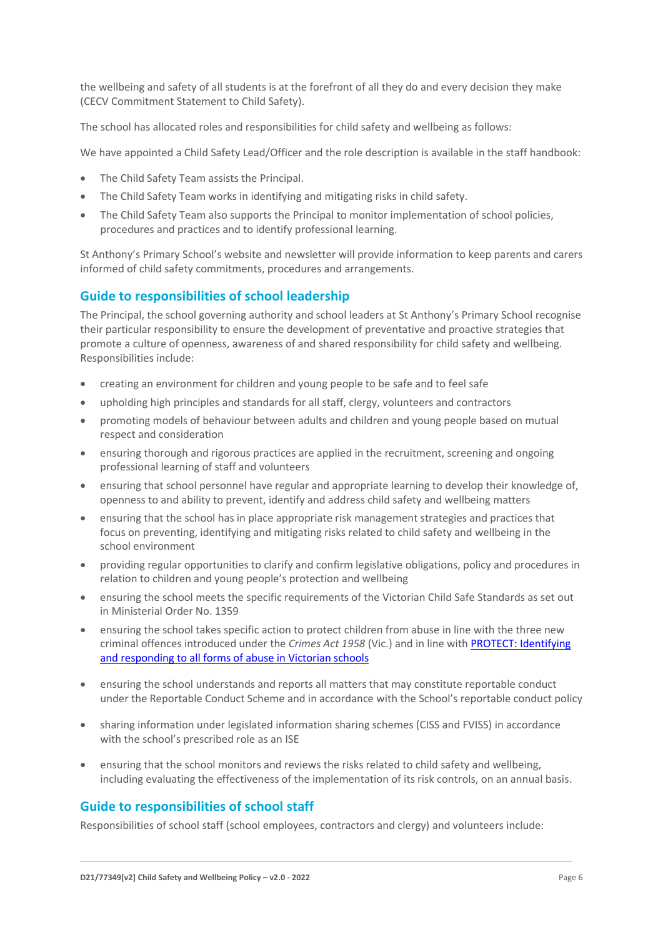the wellbeing and safety of all students is at the forefront of all they do and every decision they make (CECV Commitment Statement to Child Safety).

The school has allocated roles and responsibilities for child safety and wellbeing as follows:

We have appointed a Child Safety Lead/Officer and the role description is available in the staff handbook:

- The Child Safety Team assists the Principal.
- The Child Safety Team works in identifying and mitigating risks in child safety.
- The Child Safety Team also supports the Principal to monitor implementation of school policies, procedures and practices and to identify professional learning.

St Anthony's Primary School's website and newsletter will provide information to keep parents and carers informed of child safety commitments, procedures and arrangements.

### **Guide to responsibilities of school leadership**

The Principal, the school governing authority and school leaders at St Anthony's Primary School recognise their particular responsibility to ensure the development of preventative and proactive strategies that promote a culture of openness, awareness of and shared responsibility for child safety and wellbeing. Responsibilities include:

- creating an environment for children and young people to be safe and to feel safe
- upholding high principles and standards for all staff, clergy, volunteers and contractors
- promoting models of behaviour between adults and children and young people based on mutual respect and consideration
- ensuring thorough and rigorous practices are applied in the recruitment, screening and ongoing professional learning of staff and volunteers
- ensuring that school personnel have regular and appropriate learning to develop their knowledge of, openness to and ability to prevent, identify and address child safety and wellbeing matters
- ensuring that the school has in place appropriate risk management strategies and practices that focus on preventing, identifying and mitigating risks related to child safety and wellbeing in the school environment
- providing regular opportunities to clarify and confirm legislative obligations, policy and procedures in relation to children and young people's protection and wellbeing
- ensuring the school meets the specific requirements of the Victorian Child Safe Standards as set out in Ministerial Order No. 1359
- ensuring the school takes specific action to protect children from abuse in line with the three new criminal offences introduced under the *Crimes Act 1958* (Vic.) and in line wit[h PROTECT: Identifying](http://www.cecv.catholic.edu.au/getmedia/ebe135a4-d1b3-48a0-81fe-50d4fc451bcd/Identifying-and-Responding-to-All-Forms-of-Abuse.aspx)  [and responding to all forms of abuse in Victorian schools](http://www.cecv.catholic.edu.au/getmedia/ebe135a4-d1b3-48a0-81fe-50d4fc451bcd/Identifying-and-Responding-to-All-Forms-of-Abuse.aspx)
- ensuring the school understands and reports all matters that may constitute reportable conduct under the Reportable Conduct Scheme and in accordance with the School's reportable conduct policy
- sharing information under legislated information sharing schemes (CISS and FVISS) in accordance with the school's prescribed role as an ISE
- ensuring that the school monitors and reviews the risks related to child safety and wellbeing, including evaluating the effectiveness of the implementation of its risk controls, on an annual basis.

#### **Guide to responsibilities of school staff**

Responsibilities of school staff (school employees, contractors and clergy) and volunteers include: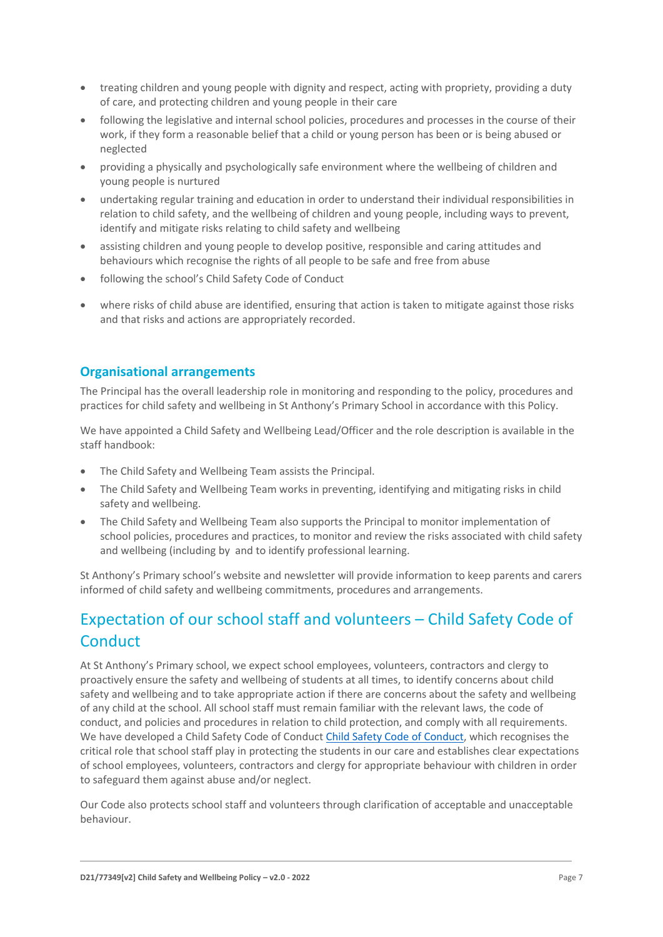- treating children and young people with dignity and respect, acting with propriety, providing a duty of care, and protecting children and young people in their care
- following the legislative and internal school policies, procedures and processes in the course of their work, if they form a reasonable belief that a child or young person has been or is being abused or neglected
- providing a physically and psychologically safe environment where the wellbeing of children and young people is nurtured
- undertaking regular training and education in order to understand their individual responsibilities in relation to child safety, and the wellbeing of children and young people, including ways to prevent, identify and mitigate risks relating to child safety and wellbeing
- assisting children and young people to develop positive, responsible and caring attitudes and behaviours which recognise the rights of all people to be safe and free from abuse
- following the school's Child Safety Code of Conduct
- where risks of child abuse are identified, ensuring that action is taken to mitigate against those risks and that risks and actions are appropriately recorded.

### **Organisational arrangements**

The Principal has the overall leadership role in monitoring and responding to the policy, procedures and practices for child safety and wellbeing in St Anthony's Primary School in accordance with this Policy.

We have appointed a Child Safety and Wellbeing Lead/Officer and the role description is available in the staff handbook:

- The Child Safety and Wellbeing Team assists the Principal.
- The Child Safety and Wellbeing Team works in preventing, identifying and mitigating risks in child safety and wellbeing.
- The Child Safety and Wellbeing Team also supports the Principal to monitor implementation of school policies, procedures and practices, to monitor and review the risks associated with child safety and wellbeing (including by and to identify professional learning.

St Anthony's Primary school's website and newsletter will provide information to keep parents and carers informed of child safety and wellbeing commitments, procedures and arrangements.

# Expectation of our school staff and volunteers – Child Safety Code of **Conduct**

At St Anthony's Primary school, we expect school employees, volunteers, contractors and clergy to proactively ensure the safety and wellbeing of students at all times, to identify concerns about child safety and wellbeing and to take appropriate action if there are concerns about the safety and wellbeing of any child at the school. All school staff must remain familiar with the relevant laws, the code of conduct, and policies and procedures in relation to child protection, and comply with all requirements. We have developed a Child Safety Code of Conduct [Child Safety Code of Conduct,](file:///C:/Users/rromeo/Desktop/NEW%20MACS%20POLICIES/Child%20Safety%20Policies/SA%20MACS%20School-Child-Safety-Code-of-Conduct-v1-0-2021.DOCX) which recognises the critical role that school staff play in protecting the students in our care and establishes clear expectations of school employees, volunteers, contractors and clergy for appropriate behaviour with children in order to safeguard them against abuse and/or neglect.

Our Code also protects school staff and volunteers through clarification of acceptable and unacceptable behaviour.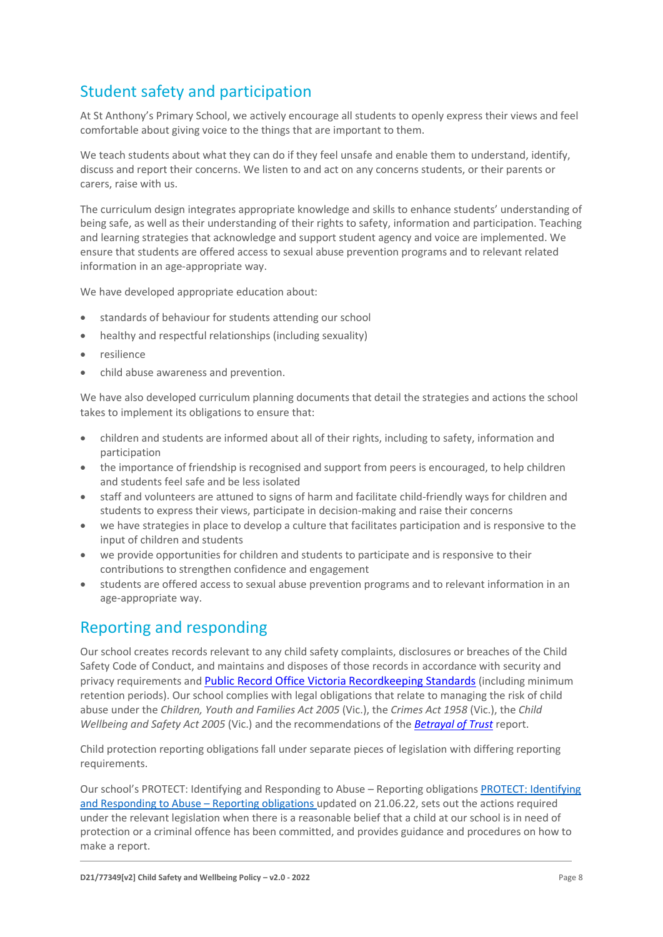# Student safety and participation

At St Anthony's Primary School, we actively encourage all students to openly express their views and feel comfortable about giving voice to the things that are important to them.

We teach students about what they can do if they feel unsafe and enable them to understand, identify, discuss and report their concerns. We listen to and act on any concerns students, or their parents or carers, raise with us.

The curriculum design integrates appropriate knowledge and skills to enhance students' understanding of being safe, as well as their understanding of their rights to safety, information and participation. Teaching and learning strategies that acknowledge and support student agency and voice are implemented. We ensure that students are offered access to sexual abuse prevention programs and to relevant related information in an age-appropriate way.

We have developed appropriate education about:

- standards of behaviour for students attending our school
- healthy and respectful relationships (including sexuality)
- resilience
- child abuse awareness and prevention.

We have also developed curriculum planning documents that detail the strategies and actions the school takes to implement its obligations to ensure that:

- children and students are informed about all of their rights, including to safety, information and participation
- the importance of friendship is recognised and support from peers is encouraged, to help children and students feel safe and be less isolated
- staff and volunteers are attuned to signs of harm and facilitate child-friendly ways for children and students to express their views, participate in decision-making and raise their concerns
- we have strategies in place to develop a culture that facilitates participation and is responsive to the input of children and students
- we provide opportunities for children and students to participate and is responsive to their contributions to strengthen confidence and engagement
- students are offered access to sexual abuse prevention programs and to relevant information in an age-appropriate way.

# Reporting and responding

Our school creates records relevant to any child safety complaints, disclosures or breaches of the Child Safety Code of Conduct, and maintains and disposes of those records in accordance with security and privacy requirements and [Public Record Office Victoria Recordkeeping Standards](https://prov.vic.gov.au/sites/default/files/files/documents/1906v1.0.pdf) (including minimum retention periods). Our school complies with legal obligations that relate to managing the risk of child abuse under the *Children, Youth and Families Act 2005* (Vic.), the *Crimes Act 1958* (Vic.), the *Child Wellbeing and Safety Act 2005* (Vic.) and the recommendations of the *[Betrayal of Trust](http://www.parliament.vic.gov.au/fcdc/article/1788)* report.

Child protection reporting obligations fall under separate pieces of legislation with differing reporting requirements.

Our school's PROTECT: Identifying and Responding to Abuse – Reporting obligations [PROTECT: Identifying](file:///C:/Users/rromeo/Desktop/NEW%20MACS%20POLICIES/Child%20Safety%20Policies/SA%20MACS%20PROTECT-Identifying-and-Responding-to-Abuse-Reporting-Obligations-v1-0-2021.DOCX)  and [Responding to Abuse](file:///C:/Users/rromeo/Desktop/NEW%20MACS%20POLICIES/Child%20Safety%20Policies/SA%20MACS%20PROTECT-Identifying-and-Responding-to-Abuse-Reporting-Obligations-v1-0-2021.DOCX) – Reporting obligations updated on 21.06.22, sets out the actions required under the relevant legislation when there is a reasonable belief that a child at our school is in need of protection or a criminal offence has been committed, and provides guidance and procedures on how to make a report.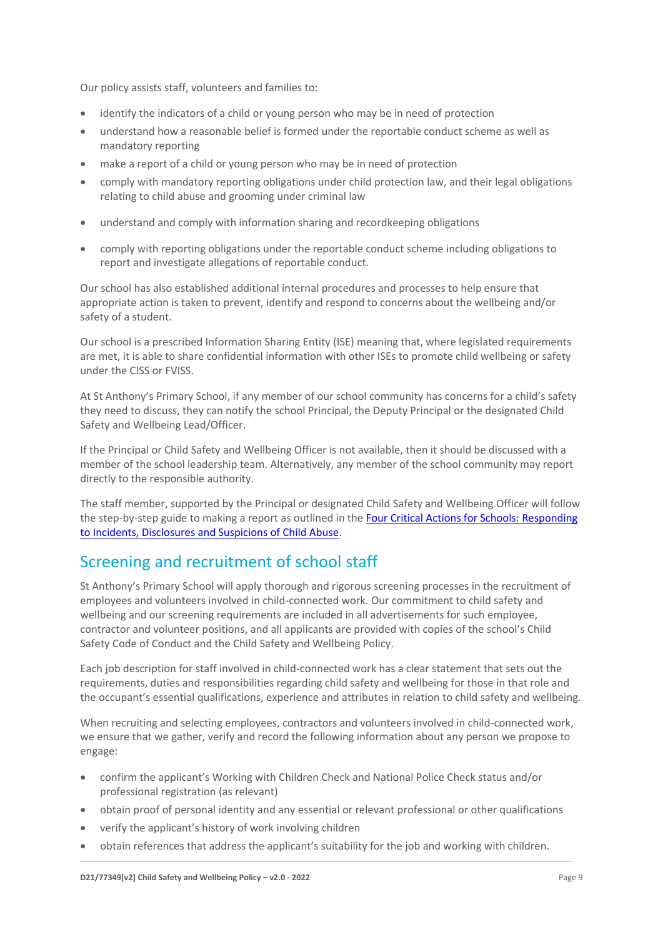Our policy assists staff, volunteers and families to:

- identify the indicators of a child or young person who may be in need of protection
- understand how a reasonable belief is formed under the reportable conduct scheme as well as mandatory reporting
- make a report of a child or young person who may be in need of protection
- comply with mandatory reporting obligations under child protection law, and their legal obligations relating to child abuse and grooming under criminal law
- understand and comply with information sharing and recordkeeping obligations
- comply with reporting obligations under the reportable conduct scheme including obligations to report and investigate allegations of reportable conduct.

Our school has also established additional internal procedures and processes to help ensure that appropriate action is taken to prevent, identify and respond to concerns about the wellbeing and/or safety of a student.

Our school is a prescribed Information Sharing Entity (ISE) meaning that, where legislated requirements are met, it is able to share confidential information with other ISEs to promote child wellbeing or safety under the CISS or FVISS.

At St Anthony's Primary School, if any member of our school community has concerns for a child's safety they need to discuss, they can notify the school Principal, the Deputy Principal or the designated Child Safety and Wellbeing Lead/Officer.

If the Principal or Child Safety and Wellbeing Officer is not available, then it should be discussed with a member of the school leadership team. Alternatively, any member of the school community may report directly to the responsible authority.

The staff member, supported by the Principal or designated Child Safety and Wellbeing Officer will follow the step-by-step guide to making a report as outlined in th[e Four Critical Actions for Schools:](https://www.education.vic.gov.au/Documents/about/programs/health/protect/FourCriticalActions_ChildAbuse.pdf) Responding [to Incidents, Disclosures and Suspicions of Child Abuse.](https://www.education.vic.gov.au/Documents/about/programs/health/protect/FourCriticalActions_ChildAbuse.pdf)

# Screening and recruitment of school staff

St Anthony's Primary School will apply thorough and rigorous screening processes in the recruitment of employees and volunteers involved in child-connected work. Our commitment to child safety and wellbeing and our screening requirements are included in all advertisements for such employee, contractor and volunteer positions, and all applicants are provided with copies of the school's Child Safety Code of Conduct and the Child Safety and Wellbeing Policy.

Each job description for staff involved in child-connected work has a clear statement that sets out the requirements, duties and responsibilities regarding child safety and wellbeing for those in that role and the occupant's essential qualifications, experience and attributes in relation to child safety and wellbeing.

When recruiting and selecting employees, contractors and volunteers involved in child-connected work, we ensure that we gather, verify and record the following information about any person we propose to engage:

- confirm the applicant's Working with Children Check and National Police Check status and/or professional registration (as relevant)
- obtain proof of personal identity and any essential or relevant professional or other qualifications
- verify the applicant's history of work involving children
- obtain references that address the applicant's suitability for the job and working with children.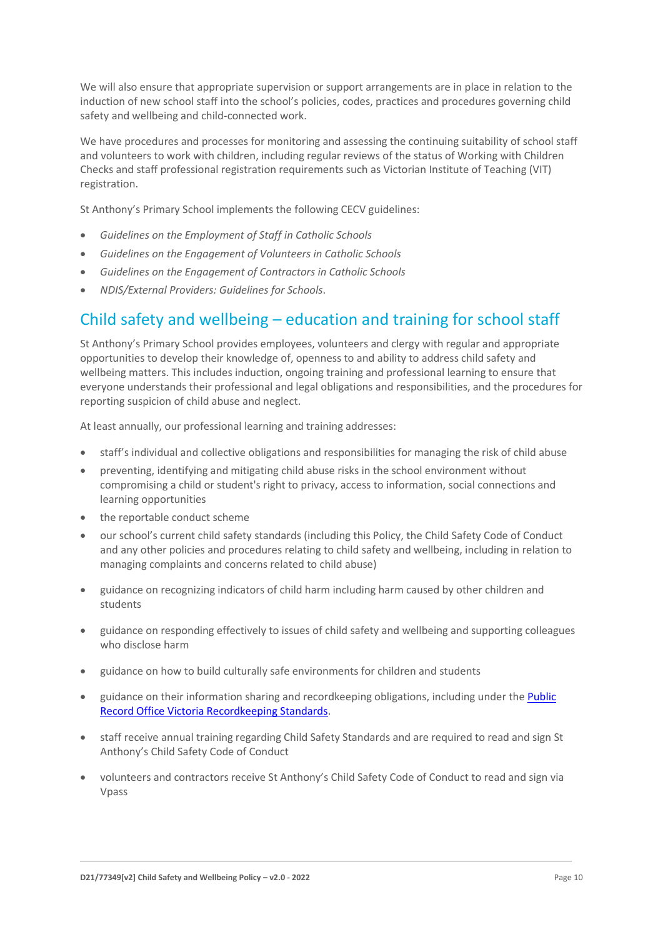We will also ensure that appropriate supervision or support arrangements are in place in relation to the induction of new school staff into the school's policies, codes, practices and procedures governing child safety and wellbeing and child-connected work.

We have procedures and processes for monitoring and assessing the continuing suitability of school staff and volunteers to work with children, including regular reviews of the status of Working with Children Checks and staff professional registration requirements such as Victorian Institute of Teaching (VIT) registration.

St Anthony's Primary School implements the following CECV guidelines:

- *Guidelines on the Employment of Staff in Catholic Schools*
- *Guidelines on the Engagement of Volunteers in Catholic Schools*
- *Guidelines on the Engagement of Contractors in Catholic Schools*
- *NDIS/External Providers: Guidelines for Schools*.

# Child safety and wellbeing – education and training for school staff

St Anthony's Primary School provides employees, volunteers and clergy with regular and appropriate opportunities to develop their knowledge of, openness to and ability to address child safety and wellbeing matters. This includes induction, ongoing training and professional learning to ensure that everyone understands their professional and legal obligations and responsibilities, and the procedures for reporting suspicion of child abuse and neglect.

At least annually, our professional learning and training addresses:

- staff's individual and collective obligations and responsibilities for managing the risk of child abuse
- preventing, identifying and mitigating child abuse risks in the school environment without compromising a child or student's right to privacy, access to information, social connections and learning opportunities
- the reportable conduct scheme
- our school's current child safety standards (including this Policy, the Child Safety Code of Conduct and any other policies and procedures relating to child safety and wellbeing, including in relation to managing complaints and concerns related to child abuse)
- guidance on recognizing indicators of child harm including harm caused by other children and students
- guidance on responding effectively to issues of child safety and wellbeing and supporting colleagues who disclose harm
- guidance on how to build culturally safe environments for children and students
- guidance on their information sharing and recordkeeping obligations, including under the Public [Record Office Victoria Recordkeeping Standards.](https://prov.vic.gov.au/sites/default/files/files/documents/1906v1.0.pdf)
- staff receive annual training regarding Child Safety Standards and are required to read and sign St Anthony's Child Safety Code of Conduct
- volunteers and contractors receive St Anthony's Child Safety Code of Conduct to read and sign via Vpass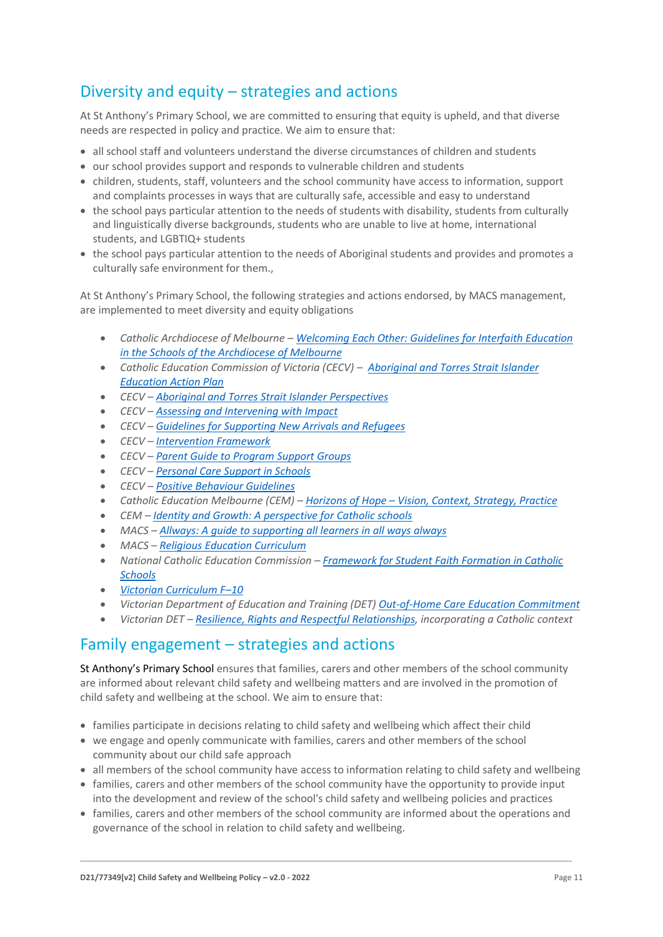# Diversity and equity – strategies and actions

At St Anthony's Primary School, we are committed to ensuring that equity is upheld, and that diverse needs are respected in policy and practice. We aim to ensure that:

- all school staff and volunteers understand the diverse circumstances of children and students
- our school provides support and responds to vulnerable children and students
- children, students, staff, volunteers and the school community have access to information, support and complaints processes in ways that are culturally safe, accessible and easy to understand
- the school pays particular attention to the needs of students with disability, students from culturally and linguistically diverse backgrounds, students who are unable to live at home, international students, and LGBTIQ+ students
- the school pays particular attention to the needs of Aboriginal students and provides and promotes a culturally safe environment for them.,

At St Anthony's Primary School, the following strategies and actions endorsed, by MACS management, are implemented to meet diversity and equity obligations

- *Catholic Archdiocese of Melbourne – [Welcoming Each Other: Guidelines for Interfaith Education](http://www.cam1.org.au/eic/welcoming/index.html)  [in the Schools of the Archdiocese of Melbourne](http://www.cam1.org.au/eic/welcoming/index.html)*
- *Catholic Education Commission of Victoria (CECV) – [Aboriginal and Torres Strait Islander](https://www.cecv.catholic.edu.au/getmedia/bd494d6a-2d58-4f9b-94a2-85f3ab75e7ea/CECV-Aboriginal-and-Torres-Strait-Islander-Education-Action-Plan.aspx?ext=.pdf)  [Education Action Plan](https://www.cecv.catholic.edu.au/getmedia/bd494d6a-2d58-4f9b-94a2-85f3ab75e7ea/CECV-Aboriginal-and-Torres-Strait-Islander-Education-Action-Plan.aspx?ext=.pdf)*
- *CECV – [Aboriginal and Torres Strait Islander Perspectives](https://cevn.cecv.catholic.edu.au/Melb/Student-Support/Cultural-Diversity/ATSI-perspectives)*
- *CECV – [Assessing and Intervening with Impact](https://cevn.cecv.catholic.edu.au/Melb/Document-File/Students-Support/Practices/Assessing-and-intervening-with-impact)*
- *CECV – [Guidelines for Supporting New Arrivals and Refugees](https://www.cecv.catholic.edu.au/getmedia/b1a8935d-5f90-45e6-bb28-828e23c83366/CECV-Guidelines-for-New-Arrivals-and-Refugees-2020-2022.aspx?ext=.pdf)*
- *CECV – [Intervention Framework](https://www.cecv.catholic.edu.au/getmedia/757e80aa-1c1a-4510-8d8a-f1ca72a92adb/CECV-Intervention-Framework-2021-overview.aspx?ext=.pdf)*
- *CECV – [Parent Guide to Program Support Groups](https://www.cecv.catholic.edu.au/getmedia/8067c3e8-72f0-402c-9b78-60450b06c689/Parent-Guide-to-Program-Support-Groups.aspx?ext=.pdf)*
- *CECV – [Personal Care Support in Schools](https://www.cecv.catholic.edu.au/getmedia/56a1892e-fc3f-45f8-b057-daa8dd462dfd/CECV-Personal-Care-Support-in-Schools.aspx?ext=.pdf)*
- *CECV – [Positive Behaviour Guidelines](https://www.cecv.catholic.edu.au/getmedia/bc1d235d-9a98-4bb4-b3ac-84b50fa7c639/CECV-Positive-Behaviour-Guidelines_FINAL2.aspx?ext=.pdf)*
- *Catholic Education Melbourne (CEM) – Horizons of Hope – [Vision, Context, Strategy, Practice](https://cevn.cecv.catholic.edu.au/Melb/Curriculum/Horizons-of-Hope)*
- *CEM – [Identity and Growth: A perspective for Catholic schools](https://cevn.cecv.catholic.edu.au/Melb/MI/Identity-Growth)*
- *MACS – [Allways: A guide to supporting all learners in all ways always](https://www.macs.vic.edu.au/CatholicEducationMelbourne/media/Documentation/Documents/Allways-A4-book-Guide-web.pdf)*
- *MACS – [Religious Education Curriculum](https://resource-macs.com/)*
- *National Catholic Education Commission – Framework for [Student Faith Formation in Catholic](https://www.ncec.catholic.edu.au/doclink/student-faith-formation-in-catholic-schools-february-2022/eyJ0eXAiOiJKV1QiLCJhbGciOiJIUzI1NiJ9.eyJzdWIiOiJzdHVkZW50LWZhaXRoLWZvcm1hdGlvbi1pbi1jYXRob2xpYy1zY2hvb2xzLWZlYnJ1YXJ5LTIwMjIiLCJpYXQiOjE2NDQyNzM3NTYsImV4cCI6MTY0NDM2MDE1Nn0.jGLDyhU7PGuIaDiSI4Pv5ODo78qVCxDaI9e5o0m7CVg)  [Schools](https://www.ncec.catholic.edu.au/doclink/student-faith-formation-in-catholic-schools-february-2022/eyJ0eXAiOiJKV1QiLCJhbGciOiJIUzI1NiJ9.eyJzdWIiOiJzdHVkZW50LWZhaXRoLWZvcm1hdGlvbi1pbi1jYXRob2xpYy1zY2hvb2xzLWZlYnJ1YXJ5LTIwMjIiLCJpYXQiOjE2NDQyNzM3NTYsImV4cCI6MTY0NDM2MDE1Nn0.jGLDyhU7PGuIaDiSI4Pv5ODo78qVCxDaI9e5o0m7CVg)*
- *[Victorian Curriculum F](https://victoriancurriculum.vcaa.vic.edu.au/)–10*
- *Victorian Department of Education and Training (DET) [Out-of-Home Care Education Commitment](https://www.cecv.catholic.edu.au/getmedia/11631bac-6208-4324-887e-0aca88189126/OoHC-Education-Commitment.aspx?ext=.pdf)*
- *Victorian DET – [Resilience, Rights and Respectful Relationships,](https://fuse.education.vic.gov.au/ResourcePackage/ByPin?pin=2JZX4R) incorporating a Catholic context*

### Family engagement – strategies and actions

St Anthony's Primary School ensures that families, carers and other members of the school community are informed about relevant child safety and wellbeing matters and are involved in the promotion of child safety and wellbeing at the school. We aim to ensure that:

- families participate in decisions relating to child safety and wellbeing which affect their child
- we engage and openly communicate with families, carers and other members of the school community about our child safe approach
- all members of the school community have access to information relating to child safety and wellbeing
- families, carers and other members of the school community have the opportunity to provide input into the development and review of the school's child safety and wellbeing policies and practices
- families, carers and other members of the school community are informed about the operations and governance of the school in relation to child safety and wellbeing.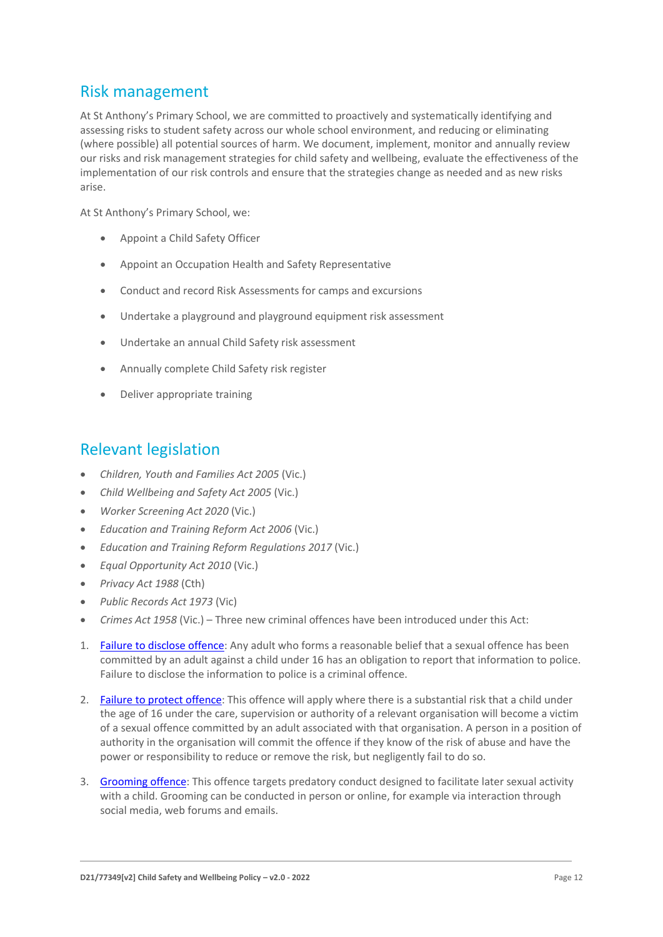# Risk management

At St Anthony's Primary School, we are committed to proactively and systematically identifying and assessing risks to student safety across our whole school environment, and reducing or eliminating (where possible) all potential sources of harm. We document, implement, monitor and annually review our risks and risk management strategies for child safety and wellbeing, evaluate the effectiveness of the implementation of our risk controls and ensure that the strategies change as needed and as new risks arise.

At St Anthony's Primary School, we:

- Appoint a Child Safety Officer
- Appoint an Occupation Health and Safety Representative
- Conduct and record Risk Assessments for camps and excursions
- Undertake a playground and playground equipment risk assessment
- Undertake an annual Child Safety risk assessment
- Annually complete Child Safety risk register
- Deliver appropriate training

# Relevant legislation

- *Children, Youth and Families Act 2005* (Vic.)
- *Child Wellbeing and Safety Act 2005* (Vic.)
- *Worker Screening Act 2020* (Vic.)
- *Education and Training Reform Act 2006* (Vic.)
- *Education and Training Reform Regulations 2017* (Vic.)
- *Equal Opportunity Act 2010* (Vic.)
- *Privacy Act 1988* (Cth)
- *Public Records Act 1973* (Vic)
- *Crimes Act 1958* (Vic.) Three new criminal offences have been introduced under this Act:
- 1. [Failure to disclose offence:](https://www.justice.vic.gov.au/safer-communities/protecting-children-and-families/failure-to-disclose-offence#%3A~%3Atext%3DIn%202014%2C%20the%20law%20in%20Victoria%20was%20changed%2Coffended%20against%20a%20child%20under%2016%20in%20Victoria) Any adult who forms a reasonable belief that a sexual offence has been committed by an adult against a child under 16 has an obligation to report that information to police. Failure to disclose the information to police is a criminal offence.
- 2. [Failure to protect offence:](https://www.justice.vic.gov.au/safer-communities/protecting-children-and-families/failure-to-protect-a-new-criminal-offence-to#%3A~%3Atext%3DFailure%20to%20protect%3A%20a%20new%20criminal%20offence%20to%2Cfrom%20sexual%20abuse%20and%20exposure%20to%20sexual%20offenders) This offence will apply where there is a substantial risk that a child under the age of 16 under the care, supervision or authority of a relevant organisation will become a victim of a sexual offence committed by an adult associated with that organisation. A person in a position of authority in the organisation will commit the offence if they know of the risk of abuse and have the power or responsibility to reduce or remove the risk, but negligently fail to do so.
- 3. [Grooming offence:](https://www.justice.vic.gov.au/safer-communities/protecting-children-and-families/grooming-offence) This offence targets predatory conduct designed to facilitate later sexual activity with a child. Grooming can be conducted in person or online, for example via interaction through social media, web forums and emails.